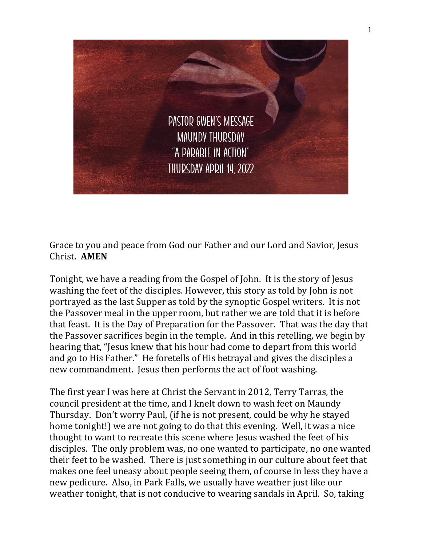

Grace to you and peace from God our Father and our Lord and Savior, Jesus Christ. **AMEN**

Tonight, we have a reading from the Gospel of John. It is the story of Jesus washing the feet of the disciples. However, this story as told by John is not portrayed as the last Supper as told by the synoptic Gospel writers. It is not the Passover meal in the upper room, but rather we are told that it is before that feast. It is the Day of Preparation for the Passover. That was the day that the Passover sacrifices begin in the temple. And in this retelling, we begin by hearing that, "Jesus knew that his hour had come to depart from this world and go to His Father." He foretells of His betrayal and gives the disciples a new commandment. Jesus then performs the act of foot washing.

The first year I was here at Christ the Servant in 2012, Terry Tarras, the council president at the time, and I knelt down to wash feet on Maundy Thursday. Don't worry Paul, (if he is not present, could be why he stayed home tonight!) we are not going to do that this evening. Well, it was a nice thought to want to recreate this scene where Jesus washed the feet of his disciples. The only problem was, no one wanted to participate, no one wanted their feet to be washed. There is just something in our culture about feet that makes one feel uneasy about people seeing them, of course in less they have a new pedicure. Also, in Park Falls, we usually have weather just like our weather tonight, that is not conducive to wearing sandals in April. So, taking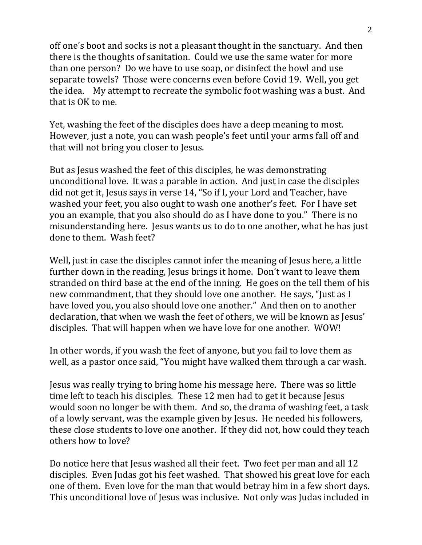off one's boot and socks is not a pleasant thought in the sanctuary. And then there is the thoughts of sanitation. Could we use the same water for more than one person? Do we have to use soap, or disinfect the bowl and use separate towels? Those were concerns even before Covid 19. Well, you get the idea. My attempt to recreate the symbolic foot washing was a bust. And that is OK to me.

Yet, washing the feet of the disciples does have a deep meaning to most. However, just a note, you can wash people's feet until your arms fall off and that will not bring you closer to Jesus.

But as Jesus washed the feet of this disciples, he was demonstrating unconditional love. It was a parable in action. And just in case the disciples did not get it, Jesus says in verse 14, "So if I, your Lord and Teacher, have washed your feet, you also ought to wash one another's feet. For I have set you an example, that you also should do as I have done to you." There is no misunderstanding here. Jesus wants us to do to one another, what he has just done to them. Wash feet?

Well, just in case the disciples cannot infer the meaning of Jesus here, a little further down in the reading, Jesus brings it home. Don't want to leave them stranded on third base at the end of the inning. He goes on the tell them of his new commandment, that they should love one another. He says, "Just as I have loved you, you also should love one another." And then on to another declaration, that when we wash the feet of others, we will be known as Jesus' disciples. That will happen when we have love for one another. WOW!

In other words, if you wash the feet of anyone, but you fail to love them as well, as a pastor once said, "You might have walked them through a car wash.

Jesus was really trying to bring home his message here. There was so little time left to teach his disciples. These 12 men had to get it because Jesus would soon no longer be with them. And so, the drama of washing feet, a task of a lowly servant, was the example given by Jesus. He needed his followers, these close students to love one another. If they did not, how could they teach others how to love?

Do notice here that Jesus washed all their feet. Two feet per man and all 12 disciples. Even Judas got his feet washed. That showed his great love for each one of them. Even love for the man that would betray him in a few short days. This unconditional love of Jesus was inclusive. Not only was Judas included in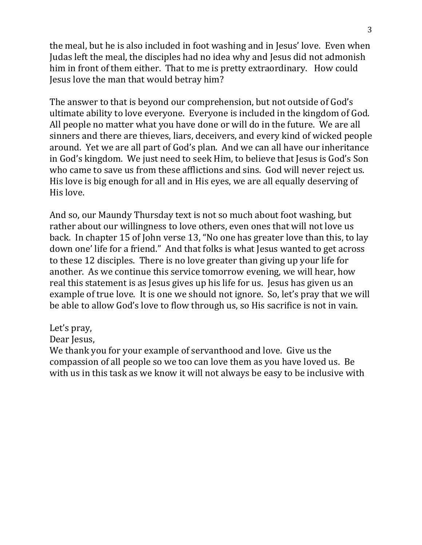the meal, but he is also included in foot washing and in Jesus' love. Even when Judas left the meal, the disciples had no idea why and Jesus did not admonish him in front of them either. That to me is pretty extraordinary. How could Jesus love the man that would betray him?

The answer to that is beyond our comprehension, but not outside of God's ultimate ability to love everyone. Everyone is included in the kingdom of God. All people no matter what you have done or will do in the future. We are all sinners and there are thieves, liars, deceivers, and every kind of wicked people around. Yet we are all part of God's plan. And we can all have our inheritance in God's kingdom. We just need to seek Him, to believe that Jesus is God's Son who came to save us from these afflictions and sins. God will never reject us. His love is big enough for all and in His eyes, we are all equally deserving of His love.

And so, our Maundy Thursday text is not so much about foot washing, but rather about our willingness to love others, even ones that will not love us back. In chapter 15 of John verse 13, "No one has greater love than this, to lay down one' life for a friend." And that folks is what Jesus wanted to get across to these 12 disciples. There is no love greater than giving up your life for another. As we continue this service tomorrow evening, we will hear, how real this statement is as Jesus gives up his life for us. Jesus has given us an example of true love. It is one we should not ignore. So, let's pray that we will be able to allow God's love to flow through us, so His sacrifice is not in vain.

## Let's pray,

Dear Jesus,

We thank you for your example of servanthood and love. Give us the compassion of all people so we too can love them as you have loved us. Be with us in this task as we know it will not always be easy to be inclusive with